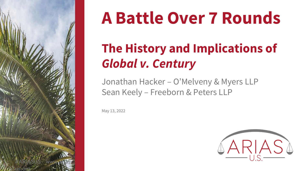

## **A Battle Over 7 Rounds**

## **The History and Implications of**  *Global v. Century*

Jonathan Hacker – O'Melveny & Myers LLP Sean Keely – Freeborn & Peters LLP

May 13, 2022

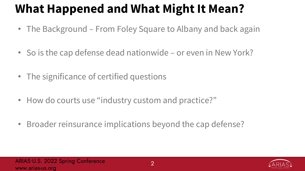### **What Happened and What Might It Mean?**

- The Background From Foley Square to Albany and back again
- So is the cap defense dead nationwide or even in New York?
- The significance of certified questions
- How do courts use "industry custom and practice?"
- Broader reinsurance implications beyond the cap defense?

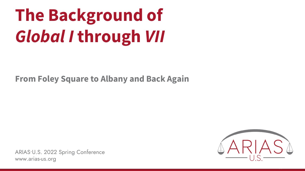# **The Background of**  *Global I* **through** *VII*

**From Foley Square to Albany and Back Again**

ARIAS•U.S. 2022 Spring Conference www.arias-us.org

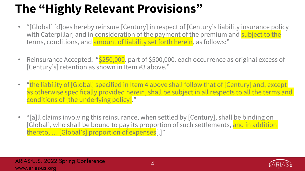### **The "Highly Relevant Provisions"**

- "[Global] [d]oes hereby reinsure [Century] in respect of [Century's liability insurance policy with Caterpillar] and in consideration of the payment of the premium and subject to the terms, conditions, and amount of liability set forth herein, as follows:"
- Reinsurance Accepted: "\$250,000. part of \$500,000. each occurrence as original excess of [Century's] retention as shown in Item #3 above."
- "the liability of [Global] specified in Item 4 above shall follow that of [Century] and, except as otherwise specifically provided herein, shall be subject in all respects to all the terms and conditions of [the underlying policy]."
- "[a]ll claims involving this reinsurance, when settled by [Century], shall be binding on [Global], who shall be bound to pay its proportion of such settlements, <mark>and in addition</mark> thereto, … [Global's] proportion of expenses[.]"

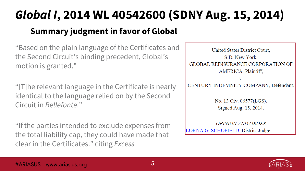### *Global I***, 2014 WL 40542600 (SDNY Aug. 15, 2014) Summary judgment in favor of Global**

"Based on the plain language of the Certificates and the Second Circuit's binding precedent, Global's motion is granted."

"[T]he relevant language in the Certificate is nearly identical to the language relied on by the Second Circuit in *Bellefonte*."

"If the parties intended to exclude expenses from the total liability cap, they could have made that clear in the Certificates." citing *Excess*

United States District Court. S.D. New York **GLOBAL REINSURANCE CORPORATION OF** AMERICA, Plaintiff,  $V_{\cdot}$ CENTURY INDEMNITY COMPANY, Defendant. No. 13 Civ. 06577(LGS).

Signed Aug. 15, 2014.

**OPINION AND ORDER** LORNA G. SCHOFIELD, District Judge.

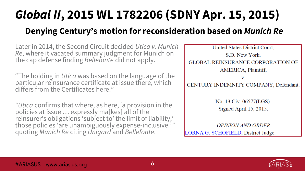## *Global II***, 2015 WL 1782206 (SDNY Apr. 15, 2015)**

#### **Denying Century's motion for reconsideration based on** *Munich Re*

Later in 2014, the Second Circuit decided *Utica v. Munich Re*, where it vacated summary judgment for Munich on the cap defense finding *Bellefonte* did not apply.

"The holding in *Utica* was based on the language of the particular reinsurance certificate at issue there, which differs from the Certificates here."

*"Utica* confirms that where, as here, 'a provision in the policies at issue … expressly ma[kes] all of the reinsurer's obligations 'subject to' the limit of liability,' those policies 'are unambiguously expense-inclusive.'*"* quoting *Munich Re* citing *Unigard* and *Bellefonte*.

United States District Court, S.D. New York. **GLOBAL REINSURANCE CORPORATION OF** AMERICA, Plaintiff, V. CENTURY INDEMNITY COMPANY, Defendant. No. 13 Civ. 06577(LGS). Signed April 15, 2015. OPINION AND ORDER

LORNA G. SCHOFIELD, District Judge.

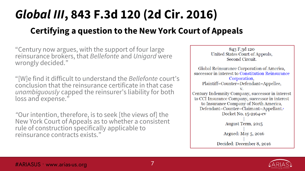## *Global III***, 843 F.3d 120 (2d Cir. 2016)**

#### **Certifying a question to the New York Court of Appeals**

"Century now argues, with the support of four large reinsurance brokers, that *Bellefonte* and *Unigard* were wrongly decided."

"[W]e find it difficult to understand the *Bellefonte* court's conclusion that the reinsurance certificate in that case *unambiguously* capped the reinsurer's liability for both loss and expense."

*"*Our intention, therefore, is to seek [the views of] the New York Court of Appeals as to whether a consistent rule of construction specifically applicable to reinsurance contracts exists."

843 F.3d 120 United States Court of Appeals, Second Circuit. Global Reinsurance Corporation of America, successor in interest to Constitution Reinsurance Corporation, Plaintiff-Counter-Defendant-Appellee, V. Century Indemnity Company, successor in interest to CCI Insurance Company, successor in interest to Insurance Company of North America, Defendant-Counter-Claimant-Appellant.<sup>1</sup> Docket No. 15-2164-cv August Term, 2015 Argued: May 5, 2016 Decided: December 8, 2016

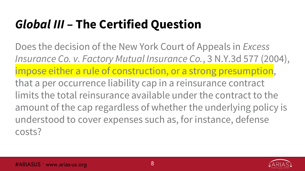### *Global III* **– The Certified Question**

Does the decision of the New York Court of Appeals in *Excess Insurance Co. v. Factory Mutual Insurance Co.*, 3 N.Y.3d 577 (2004), impose either a rule of construction, or a strong presumption, that a per occurrence liability cap in a reinsurance contract limits the total reinsurance available under the contract to the amount of the cap regardless of whether the underlying policy is understood to cover expenses such as, for instance, defense costs?

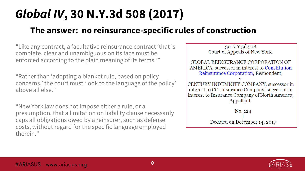### *Global IV***, 30 N.Y.3d 508 (2017)**

#### **The answer: no reinsurance-specific rules of construction**

"Like any contract, a facultative reinsurance contract 'that is complete, clear and unambiguous on its face must be enforced according to the plain meaning of its terms.'"

"Rather than 'adopting a blanket rule, based on policy concerns,' the court must 'look to the language of the policy' above all else."

"New York law does not impose either a rule, or a presumption, that a limitation on liability clause necessarily caps all obligations owed by a reinsurer, such as defense costs, without regard for the specific language employed therein."



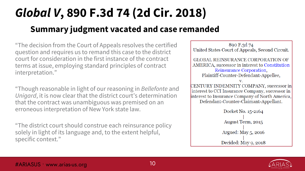### *Global V***, 890 F.3d 74 (2d Cir. 2018) Summary judgment vacated and case remanded**

"The decision from the Court of Appeals resolves the certified question and requires us to remand this case to the district court for consideration in the first instance of the contract terms at issue, employing standard principles of contract interpretation."

"Though reasonable in light of our reasoning in *Bellefonte* and *Unigard*, it is now clear that the district court's determination that the contract was unambiguous was premised on an erroneous interpretation of New York state law.

"The district court should construe each reinsurance policy solely in light of its language and, to the extent helpful, specific context."

890 F.3d 74 United States Court of Appeals, Second Circuit. **GLOBAL REINSURANCE CORPORATION OF** AMERICA, successor in interest to Constitution Reinsurance Corporation, Plaintiff-Counter-Defendant-Appellee, CENTURY INDEMNITY COMPANY, successor in interest to CCI Insurance Company, successor in interest to Insurance Company of North America, Defendant-Counter-Claimant-Appellant. Docket No. 15-2164 August Term, 2015 Argued: May 5, 2016 Decided: May 9, 2018

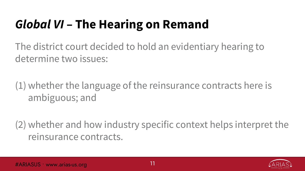### *Global VI* **– The Hearing on Remand**

The district court decided to hold an evidentiary hearing to determine two issues:

(1) whether the language of the reinsurance contracts here is ambiguous; and

(2) whether and how industry specific context helps interpret the reinsurance contracts.

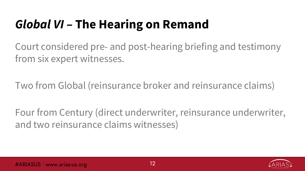### *Global VI* **– The Hearing on Remand**

Court considered pre- and post-hearing briefing and testimony from six expert witnesses.

Two from Global (reinsurance broker and reinsurance claims)

Four from Century (direct underwriter, reinsurance underwriter, and two reinsurance claims witnesses)

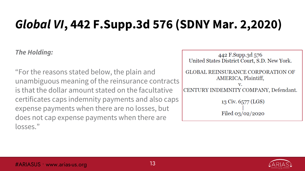*The Holding:*

"For the reasons stated below, the plain and unambiguous meaning of the reinsurance contracts is that the dollar amount stated on the facultative certificates caps indemnity payments and also caps expense payments when there are no losses, but does not cap expense payments when there are losses."

442 F.Supp.3d 576 United States District Court, S.D. New York. **GLOBAL REINSURANCE CORPORATION OF** AMERICA, Plaintiff, CENTURY INDEMNITY COMPANY, Defendant. 13 Civ. 6577 (LGS) Filed  $03/02/2020$ 

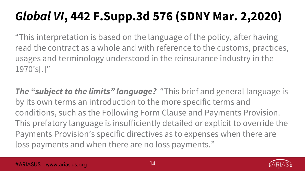"This interpretation is based on the language of the policy, after having read the contract as a whole and with reference to the customs, practices, usages and terminology understood in the reinsurance industry in the 1970's[.]"

*The "subject to the limits" language?* "This brief and general language is by its own terms an introduction to the more specific terms and conditions, such as the Following Form Clause and Payments Provision. This prefatory language is insufficiently detailed or explicit to override the Payments Provision's specific directives as to expenses when there are loss payments and when there are no loss payments."

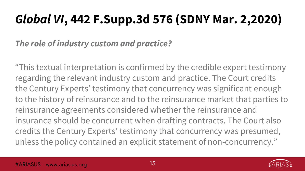#### *The role of industry custom and practice?*

"This textual interpretation is confirmed by the credible expert testimony regarding the relevant industry custom and practice. The Court credits the Century Experts' testimony that concurrency was significant enough to the history of reinsurance and to the reinsurance market that parties to reinsurance agreements considered whether the reinsurance and insurance should be concurrent when drafting contracts. The Court also credits the Century Experts' testimony that concurrency was presumed, unless the policy contained an explicit statement of non-concurrency."



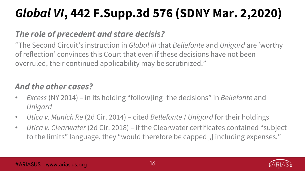#### *The role of precedent and stare decisis?*

"The Second Circuit's instruction in *Global III* that *Bellefonte* and *Unigard* are 'worthy of reflection' convinces this Court that even if these decisions have not been overruled, their continued applicability may be scrutinized."

#### *And the other cases?*

- *Excess* (NY 2014) in its holding "follow[ing] the decisions" in *Bellefonte* and *Unigard*
- *Utica v. Munich Re* (2d Cir. 2014) cited *Bellefonte* / *Unigard* for their holdings
- *Utica v. Clearwater* (2d Cir. 2018) if the Clearwater certificates contained "subject to the limits" language, they "would therefore be capped[,] including expenses."

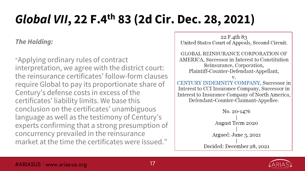### *Global VII***, 22 F.4th 83 (2d Cir. Dec. 28, 2021)**

#### *The Holding:*

"Applying ordinary rules of contract interpretation, we agree with the district court: the reinsurance certificates' follow-form clauses require Global to pay its proportionate share of Century's defense costs in excess of the certificates' liability limits. We base this conclusion on the certificates' unambiguous language as well as the testimony of Century's experts confirming that a strong presumption of concurrency prevailed in the reinsurance market at the time the certificates were issued."

22 F.4th 83 United States Court of Appeals, Second Circuit. **GLOBAL REINSURANCE CORPORATION OF** AMERICA, Successor in Interest to Constitution Reinsurance, Corporation, Plaintiff-Counter-Defendant-Appellant, V. CENTURY INDEMNITY COMPANY, Successor in Interest to CCI Insurance Company, Successor in Interest to Insurance Company of North America,

Defendant-Counter-Claimant-Appellee.

No. 20-1476 August Term 2020 Argued: June 3, 2021 Decided: December 28, 2021

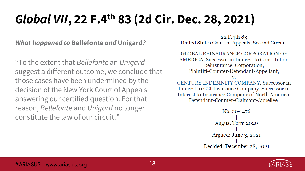### *Global VII***, 22 F.4th 83 (2d Cir. Dec. 28, 2021)**

*What happened to* **Bellefonte** *and* **Unigard***?*

"To the extent that *Bellefonte* an *Unigard* suggest a different outcome, we conclude that those cases have been undermined by the decision of the New York Court of Appeals answering our certified question. For that reason, *Bellefonte* and *Unigard* no longer constitute the law of our circuit."

22 F.4th 83 United States Court of Appeals, Second Circuit. **GLOBAL REINSURANCE CORPORATION OF** AMERICA, Successor in Interest to Constitution Reinsurance, Corporation, Plaintiff-Counter-Defendant-Appellant, V. CENTURY INDEMNITY COMPANY, Successor in Interest to CCI Insurance Company, Successor in Interest to Insurance Company of North America, Defendant-Counter-Claimant-Appellee. No. 20-1476 **August Term 2020** Argued: June 3, 2021 Decided: December 28, 2021

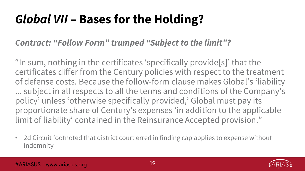### *Global VII* **– Bases for the Holding?**

#### *Contract: "Follow Form" trumped "Subject to the limit"?*

"In sum, nothing in the certificates 'specifically provide[s]' that the certificates differ from the Century policies with respect to the treatment of defense costs. Because the follow-form clause makes Global's 'liability ... subject in all respects to all the terms and conditions of the Company's policy' unless 'otherwise specifically provided,' Global must pay its proportionate share of Century's expenses 'in addition to the applicable limit of liability' contained in the Reinsurance Accepted provision."

• 2d Circuit footnoted that district court erred in finding cap applies to expense without indemnity

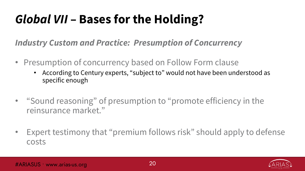### *Global VII* **– Bases for the Holding?**

*Industry Custom and Practice: Presumption of Concurrency*

- Presumption of concurrency based on Follow Form clause
	- According to Century experts, "subject to" would not have been understood as specific enough
- "Sound reasoning" of presumption to "promote efficiency in the reinsurance market."
- Expert testimony that "premium follows risk" should apply to defense costs

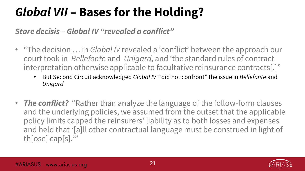### *Global VII* **– Bases for the Holding?**

*Stare decisis – Global IV "revealed a conflict"*

- "The decision … in *Global IV* revealed a 'conflict' between the approach our court took in *Bellefonte* and *Unigard*, and 'the standard rules of contract interpretation otherwise applicable to facultative reinsurance contracts[.]"
	- But Second Circuit acknowledged *Global IV* "did not confront" the issue in *Bellefonte* and *Unigard*
- **The conflict?** "Rather than analyze the language of the follow-form clauses and the underlying policies, we assumed from the outset that the applicable policy limits capped the reinsurers' liability as to both losses and expenses and held that '[a]ll other contractual language must be construed in light of th[ose] cap[s].'"

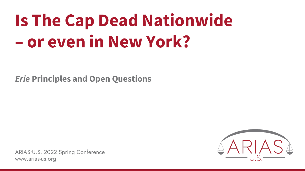# **Is The Cap Dead Nationwide – or even in New York?**

*Erie* **Principles and Open Questions**

ARIAS•U.S. 2022 Spring Conference www.arias-us.org

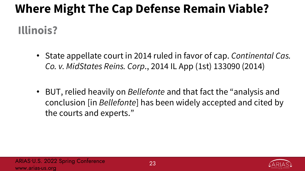## **Where Might The Cap Defense Remain Viable? Illinois?**

- State appellate court in 2014 ruled in favor of cap. *Continental Cas. Co. v. MidStates Reins. Corp*., 2014 IL App (1st) 133090 (2014)
- BUT, relied heavily on *Bellefonte* and that fact the "analysis and conclusion [in *Bellefonte*] has been widely accepted and cited by the courts and experts."

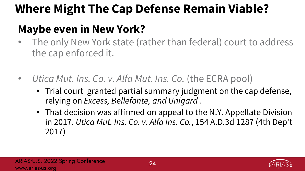### **Where Might The Cap Defense Remain Viable?**

### **Maybe even in New York?**

- The only New York state (rather than federal) court to address the cap enforced it.
- *Utica Mut. Ins. Co. v. Alfa Mut. Ins. Co.* (the ECRA pool)
	- Trial court granted partial summary judgment on the cap defense, relying on *Excess, Bellefonte, and Unigard .*
	- That decision was affirmed on appeal to the N.Y. Appellate Division in 2017. *Utica Mut. Ins. Co. v. Alfa Ins. Co.*, 154 A.D.3d 1287 (4th Dep't 2017)

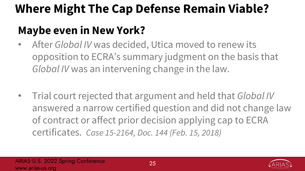### **Where Might The Cap Defense Remain Viable?**

### **Maybe even in New York?**

- After *Global IV* was decided, Utica moved to renew its opposition to ECRA's summary judgment on the basis that *Global IV* was an intervening change in the law.
- Trial court rejected that argument and held that *Global IV* answered a narrow certified question and did not change law of contract or affect prior decision applying cap to ECRA certificates. *Case 15-2164, Doc. 144 (Feb. 15, 2018)*

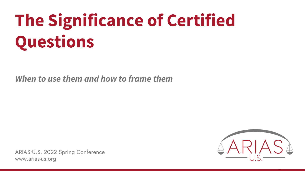# **The Significance of Certified Questions**

*When to use them and how to frame them*

ARIAS•U.S. 2022 Spring Conference www.arias-us.org

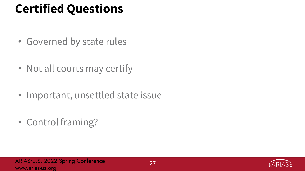### **Certified Questions**

- Governed by state rules
- Not all courts may certify
- Important, unsettled state issue
- Control framing?

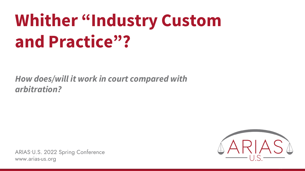# **Whither "Industry Custom and Practice"?**

*How does/will it work in court compared with arbitration?*

ARIAS•U.S. 2022 Spring Conference www.arias-us.org

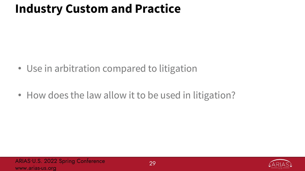### **Industry Custom and Practice**

- Use in arbitration compared to litigation
- How does the law allow it to be used in litigation?